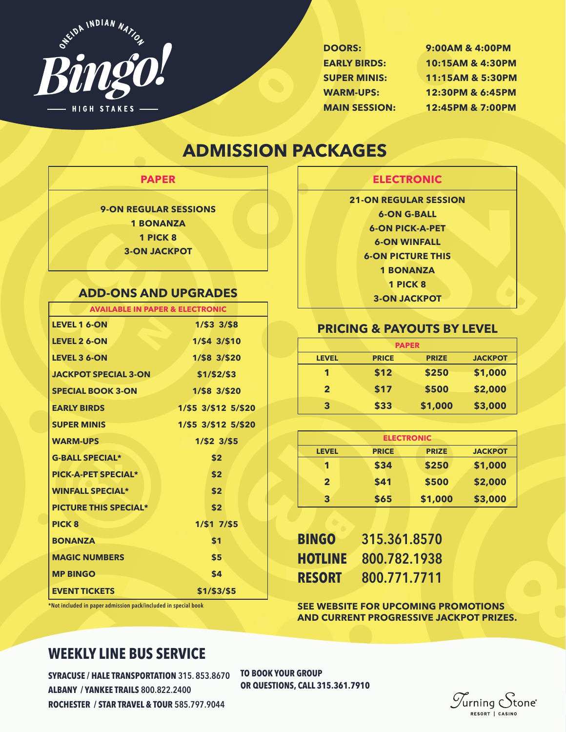

**55**

**G**

**DOORS: 9:00AM & 4:00PM EARLY BIRDS: 10:15AM & 4:30PM SUPER MINIS: 11:15AM & 5:30PM WARM-UPS: 12:30PM & 6:45PM MAIN SESSION: 12:45PM & 7:00PM**

## **ADMISSION PACKAGES**

**o**

| <b>Contract Contract Contract Contract Contract Contract Contract Contract Contract Contract Contract Contract Co</b><br><b>Contract Contract Contract Contract Contract Contract Contract Contract Contract Contract Contract Contract Co</b> | <b>Contract Contract Contract Contract Contract Contract Contract Contract Contract Contract Contract Contract Co</b> |  |
|------------------------------------------------------------------------------------------------------------------------------------------------------------------------------------------------------------------------------------------------|-----------------------------------------------------------------------------------------------------------------------|--|

**9-ON REGULAR SESSIONS 1 BONANZA 1 PICK 8 3-ON JACKPOT**

### **ADD-ONS AND UPGRADES**

| <b>1 PICK 8</b>                            |                     |  |  |  |
|--------------------------------------------|---------------------|--|--|--|
| <b>3-ON JACKPOT</b>                        |                     |  |  |  |
|                                            |                     |  |  |  |
| <b>ADD-ONS AND UPGRADES</b>                |                     |  |  |  |
| <b>AVAILABLE IN PAPER &amp; ELECTRONIC</b> |                     |  |  |  |
| <b>LEVEL 1 6-ON</b>                        | $1/53$ $3/58$       |  |  |  |
| <b>LEVEL 2 6-ON</b>                        | 1/\$4 3/\$10        |  |  |  |
| <b>LEVEL 3 6-ON</b>                        | 1/\$8 3/\$20        |  |  |  |
| <b>JACKPOT SPECIAL 3-ON</b>                | \$1/\$2/\$3         |  |  |  |
| <b>SPECIAL BOOK 3-ON</b>                   | 1/\$8 3/\$20        |  |  |  |
| <b>EARLY BIRDS</b>                         | 1/\$5 3/\$12 5/\$20 |  |  |  |
| <b>SUPER MINIS</b>                         | 1/\$5 3/\$12 5/\$20 |  |  |  |
| <b>WARM-UPS</b>                            | $1/$ \$2 3/\$5      |  |  |  |
| <b>G-BALL SPECIAL*</b>                     | \$2                 |  |  |  |
| <b>PICK-A-PET SPECIAL*</b>                 | \$2                 |  |  |  |
| <b>WINFALL SPECIAL*</b>                    | \$2                 |  |  |  |
| <b>PICTURE THIS SPECIAL*</b>               | \$2                 |  |  |  |
| <b>PICK 8</b>                              | $1/51$ $7/55$       |  |  |  |
| <b>BONANZA</b>                             | \$1                 |  |  |  |
| <b>MAGIC NUMBERS</b>                       | \$5                 |  |  |  |
| <b>MP BINGO</b>                            | \$4                 |  |  |  |
| <b>EVENT TICKETS</b>                       | \$1/\$3/\$5         |  |  |  |

**ELECTRONIC** 

ELECTRONIC<br>
N REGULAR SESSION<br>
6-ON G-BALL<br>
6-ON PICK-A-PET<br>
6-ON WINFALL<br>
ON PICTURE THIS<br>
1 BONANZA<br>
1 PICK 8<br>
3-ON JACKPOT<br>
& PAYOUTS BY LEVEL **21-ON REGULAR SESSION 6-ON G-BALL 6-ON PICK-A-PET 6-ON WINFALL 6-ON PICTURE THIS 1 BONANZA 1 PICK 8 3-ON JACKPOT**

#### **PRICING & PAYOUTS BY LEVEL**

| <b>PAPER</b> |              |              |                |  |
|--------------|--------------|--------------|----------------|--|
| <b>LEVEL</b> | <b>PRICE</b> | <b>PRIZE</b> | <b>JACKPOT</b> |  |
| 1            | \$12         | \$250        | \$1,000        |  |
| $\mathbf{2}$ | \$17         | \$500        | \$2,000        |  |
| 3            | \$33         | \$1,000      | \$3,000        |  |

| <b>LEVEL</b>   | <b>PRICE</b> | <b>PRIZE</b> | <b>JACKPOT</b>                    |  |
|----------------|--------------|--------------|-----------------------------------|--|
| 1              | \$34         | \$250        | \$1,000                           |  |
| $\overline{2}$ | \$41         | \$500        | \$2,000                           |  |
| 3              | \$65         | \$1,000      | \$3,000                           |  |
|                |              |              |                                   |  |
| <b>BINGO</b>   |              |              |                                   |  |
|                |              |              | <b>ELECTRONIC</b><br>315.361.8570 |  |

| <b>BINGO</b>   | 315.361.8570 |
|----------------|--------------|
| <b>HOTLINE</b> | 800.782.1938 |
| RESORT         | 800.771.7711 |

**15**<br>**15**<br>**2ES. SEE WEBSITE FOR UPCOMING PROMOTIONS AND CURRENT PROGRESSIVE JACKPOT PRIZES.**

\*Not included in paper admission pack/included in special book

### **WEEKLY LINE BUS SERVICE**

**32 SYRACUSE / HALE TRANSPORTATION** 315. 853.8670 **ALBANY / YANKEE TRAILS** 800.822.2400 **ROCHESTER / STAR TRAVEL & TOUR** 585.797.9044

**TO BOOK YOUR GROUP OR QUESTIONS, CALL 315.361.7910**

 $\mathscr{T}_{\mathsf{urning}}$   $\mathcal{\mathcal{S}}$ tone $^\circ$ RESORT | CASINO

**B**